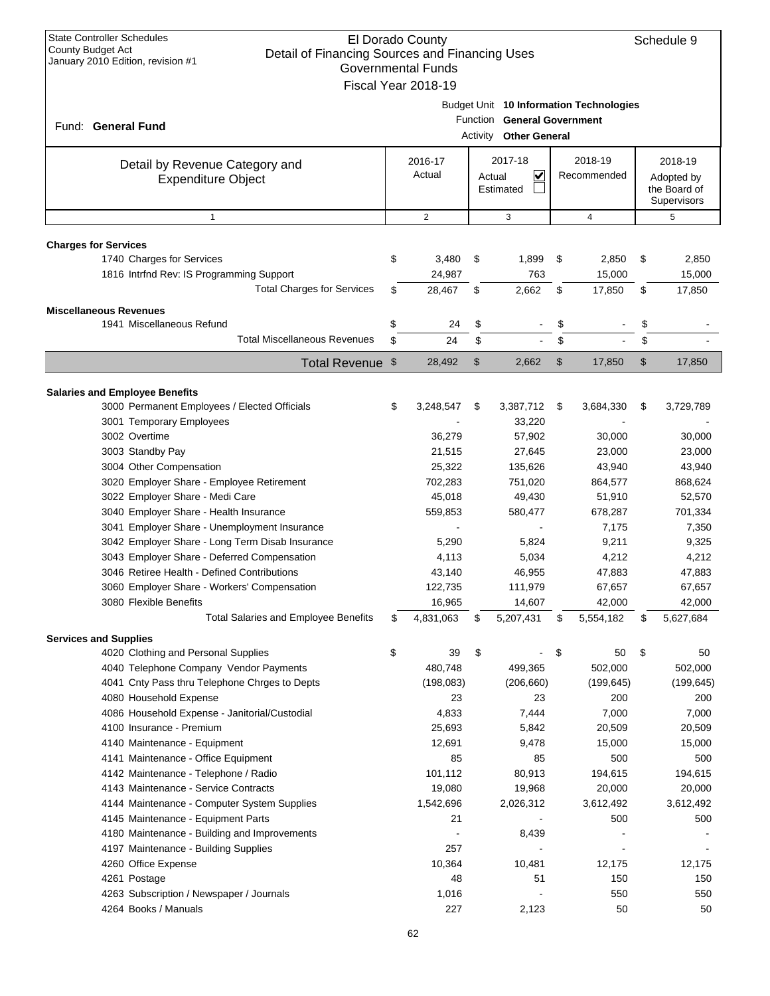| <b>State Controller Schedules</b><br>El Dorado County<br><b>County Budget Act</b><br>Detail of Financing Sources and Financing Uses<br>January 2010 Edition, revision #1<br><b>Governmental Funds</b><br>Fiscal Year 2018-19 |                                          |                 |                                        |                                                              |    |                                         |                                                      |                 |  |
|------------------------------------------------------------------------------------------------------------------------------------------------------------------------------------------------------------------------------|------------------------------------------|-----------------|----------------------------------------|--------------------------------------------------------------|----|-----------------------------------------|------------------------------------------------------|-----------------|--|
| Fund: General Fund                                                                                                                                                                                                           |                                          |                 |                                        | Function General Government<br><b>Activity Other General</b> |    | Budget Unit 10 Information Technologies |                                                      |                 |  |
| Detail by Revenue Category and<br><b>Expenditure Object</b>                                                                                                                                                                  | 2016-17<br>Actual<br>Actual<br>Estimated |                 | 2017-18<br>2018-19<br>V<br>Recommended |                                                              |    |                                         | 2018-19<br>Adopted by<br>the Board of<br>Supervisors |                 |  |
| $\mathbf{1}$                                                                                                                                                                                                                 |                                          | 2               |                                        | 3                                                            |    | 4                                       |                                                      | 5               |  |
| <b>Charges for Services</b>                                                                                                                                                                                                  |                                          |                 |                                        |                                                              |    |                                         |                                                      |                 |  |
| 1740 Charges for Services<br>1816 Intrfnd Rev: IS Programming Support                                                                                                                                                        | \$                                       | 3,480<br>24,987 | \$                                     | 1,899<br>763                                                 | \$ | 2,850<br>15,000                         | \$                                                   | 2,850<br>15,000 |  |
| <b>Total Charges for Services</b>                                                                                                                                                                                            | \$                                       | 28,467          | \$                                     | 2,662                                                        | \$ | 17,850                                  | \$                                                   | 17,850          |  |
| <b>Miscellaneous Revenues</b>                                                                                                                                                                                                |                                          |                 |                                        |                                                              |    |                                         |                                                      |                 |  |
| 1941 Miscellaneous Refund                                                                                                                                                                                                    | \$                                       | 24              | \$                                     |                                                              | \$ |                                         | \$                                                   |                 |  |
| <b>Total Miscellaneous Revenues</b>                                                                                                                                                                                          | \$                                       | 24              | \$                                     |                                                              | \$ |                                         | \$                                                   |                 |  |
| Total Revenue \$                                                                                                                                                                                                             |                                          | 28,492          | \$                                     | 2,662                                                        | \$ | 17,850                                  | \$                                                   | 17,850          |  |
| <b>Salaries and Employee Benefits</b>                                                                                                                                                                                        |                                          |                 |                                        |                                                              |    |                                         |                                                      |                 |  |
| 3000 Permanent Employees / Elected Officials                                                                                                                                                                                 | \$                                       | 3,248,547       | \$                                     | 3,387,712 \$                                                 |    | 3,684,330                               | \$                                                   | 3,729,789       |  |
| 3001 Temporary Employees                                                                                                                                                                                                     |                                          |                 |                                        | 33,220                                                       |    |                                         |                                                      |                 |  |
| 3002 Overtime                                                                                                                                                                                                                |                                          | 36,279          |                                        | 57,902                                                       |    | 30,000                                  |                                                      | 30,000          |  |
| 3003 Standby Pay                                                                                                                                                                                                             |                                          | 21,515          |                                        | 27,645                                                       |    | 23,000                                  |                                                      | 23,000          |  |
| 3004 Other Compensation                                                                                                                                                                                                      |                                          | 25,322          |                                        | 135,626                                                      |    | 43,940                                  |                                                      | 43,940          |  |
| 3020 Employer Share - Employee Retirement                                                                                                                                                                                    |                                          | 702,283         |                                        | 751,020                                                      |    | 864,577                                 |                                                      | 868,624         |  |
| 3022 Employer Share - Medi Care                                                                                                                                                                                              |                                          | 45,018          |                                        | 49,430                                                       |    | 51,910                                  |                                                      | 52,570          |  |
| 3040 Employer Share - Health Insurance                                                                                                                                                                                       |                                          | 559,853         |                                        | 580,477                                                      |    | 678,287                                 |                                                      | 701,334         |  |
| 3041 Employer Share - Unemployment Insurance                                                                                                                                                                                 |                                          |                 |                                        |                                                              |    | 7,175                                   |                                                      | 7,350           |  |
| 3042 Employer Share - Long Term Disab Insurance                                                                                                                                                                              |                                          | 5,290           |                                        | 5,824                                                        |    | 9,211                                   |                                                      | 9,325           |  |
| 3043 Employer Share - Deferred Compensation                                                                                                                                                                                  |                                          | 4,113           |                                        | 5,034                                                        |    | 4,212                                   |                                                      | 4,212           |  |
| 3046 Retiree Health - Defined Contributions                                                                                                                                                                                  |                                          | 43,140          |                                        | 46,955                                                       |    | 47,883                                  |                                                      | 47,883          |  |
| 3060 Employer Share - Workers' Compensation                                                                                                                                                                                  |                                          | 122,735         |                                        | 111,979                                                      |    | 67,657                                  |                                                      | 67,657          |  |
| 3080 Flexible Benefits                                                                                                                                                                                                       |                                          | 16,965          |                                        | 14,607                                                       |    | 42,000                                  |                                                      | 42,000          |  |
| <b>Total Salaries and Employee Benefits</b>                                                                                                                                                                                  | \$                                       | 4,831,063       | \$                                     | 5,207,431                                                    | \$ | 5,554,182                               | \$                                                   | 5,627,684       |  |
| <b>Services and Supplies</b>                                                                                                                                                                                                 |                                          |                 |                                        |                                                              |    |                                         |                                                      |                 |  |
| 4020 Clothing and Personal Supplies                                                                                                                                                                                          | \$                                       | 39              | \$                                     |                                                              | \$ | 50                                      | \$                                                   | 50              |  |
| 4040 Telephone Company Vendor Payments                                                                                                                                                                                       |                                          | 480,748         |                                        | 499,365                                                      |    | 502,000                                 |                                                      | 502,000         |  |
| 4041 Cnty Pass thru Telephone Chrges to Depts                                                                                                                                                                                |                                          | (198, 083)      |                                        | (206, 660)                                                   |    | (199, 645)                              |                                                      | (199, 645)      |  |
| 4080 Household Expense                                                                                                                                                                                                       |                                          | 23              |                                        | 23                                                           |    | 200                                     |                                                      | 200             |  |
| 4086 Household Expense - Janitorial/Custodial                                                                                                                                                                                |                                          | 4,833           |                                        | 7,444                                                        |    | 7,000                                   |                                                      | 7,000           |  |
| 4100 Insurance - Premium                                                                                                                                                                                                     |                                          | 25,693          |                                        | 5,842                                                        |    | 20,509                                  |                                                      | 20,509          |  |
| 4140 Maintenance - Equipment                                                                                                                                                                                                 |                                          | 12,691          |                                        | 9,478                                                        |    | 15,000                                  |                                                      | 15,000          |  |
| 4141 Maintenance - Office Equipment                                                                                                                                                                                          |                                          | 85              |                                        | 85                                                           |    | 500                                     |                                                      | 500             |  |
| 4142 Maintenance - Telephone / Radio                                                                                                                                                                                         |                                          | 101,112         |                                        | 80,913                                                       |    | 194,615                                 |                                                      | 194,615         |  |
| 4143 Maintenance - Service Contracts                                                                                                                                                                                         |                                          | 19,080          |                                        | 19,968                                                       |    | 20,000                                  |                                                      | 20,000          |  |
| 4144 Maintenance - Computer System Supplies                                                                                                                                                                                  |                                          | 1,542,696       |                                        | 2,026,312                                                    |    | 3,612,492                               |                                                      | 3,612,492       |  |
| 4145 Maintenance - Equipment Parts                                                                                                                                                                                           |                                          | 21              |                                        |                                                              |    | 500                                     |                                                      | 500             |  |
| 4180 Maintenance - Building and Improvements                                                                                                                                                                                 |                                          |                 |                                        | 8,439                                                        |    |                                         |                                                      |                 |  |
| 4197 Maintenance - Building Supplies                                                                                                                                                                                         |                                          | 257             |                                        |                                                              |    |                                         |                                                      |                 |  |
| 4260 Office Expense                                                                                                                                                                                                          |                                          | 10,364          |                                        | 10,481                                                       |    | 12,175                                  |                                                      | 12,175          |  |
| 4261 Postage                                                                                                                                                                                                                 |                                          | 48              |                                        | 51                                                           |    | 150                                     |                                                      | 150             |  |
| 4263 Subscription / Newspaper / Journals                                                                                                                                                                                     |                                          | 1,016           |                                        |                                                              |    | 550                                     |                                                      | 550             |  |
| 4264 Books / Manuals                                                                                                                                                                                                         |                                          | 227             |                                        | 2,123                                                        |    | 50                                      |                                                      | 50              |  |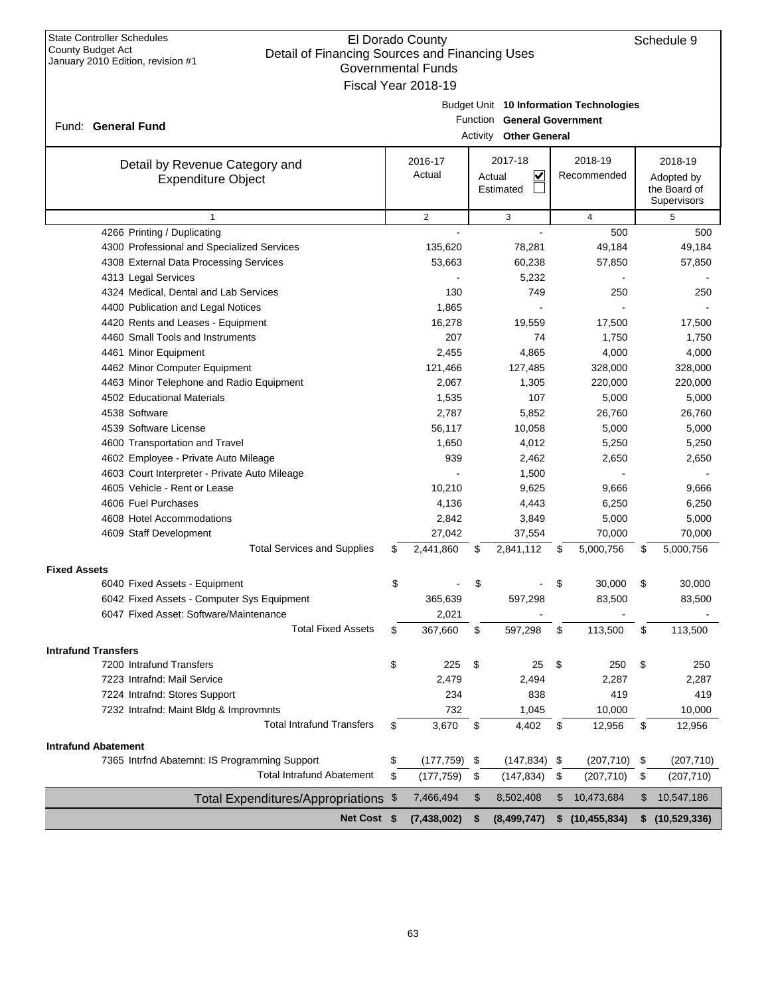## El Dorado County Detail of Financing Sources and Financing Uses Governmental Funds Fiscal Year 2018-19

|                                               | Governmental Funds<br>Fiscal Year 2018-19 |                      |                                                   |                                         |     |                                           |
|-----------------------------------------------|-------------------------------------------|----------------------|---------------------------------------------------|-----------------------------------------|-----|-------------------------------------------|
| Fund: General Fund                            |                                           | Function<br>Activity | <b>General Government</b><br><b>Other General</b> | Budget Unit 10 Information Technologies |     |                                           |
| Detail by Revenue Category and                | 2016-17                                   |                      | 2017-18                                           | 2018-19                                 |     | 2018-19                                   |
| <b>Expenditure Object</b>                     | Actual                                    |                      | $\overline{\mathbf{v}}$<br>Actual<br>Estimated    | Recommended                             |     | Adopted by<br>the Board of<br>Supervisors |
| $\mathbf{1}$                                  | $\overline{2}$                            |                      | 3                                                 | 4                                       |     | 5                                         |
| 4266 Printing / Duplicating                   |                                           |                      |                                                   | 500                                     |     | 500                                       |
| 4300 Professional and Specialized Services    | 135,620                                   |                      | 78,281                                            | 49,184                                  |     | 49,184                                    |
| 4308 External Data Processing Services        | 53,663                                    |                      | 60,238                                            | 57,850                                  |     | 57,850                                    |
| 4313 Legal Services                           |                                           |                      | 5,232                                             |                                         |     |                                           |
| 4324 Medical, Dental and Lab Services         | 130                                       |                      | 749                                               | 250                                     |     | 250                                       |
| 4400 Publication and Legal Notices            | 1,865                                     |                      |                                                   |                                         |     |                                           |
| 4420 Rents and Leases - Equipment             | 16,278                                    |                      | 19,559                                            | 17,500                                  |     | 17,500                                    |
| 4460 Small Tools and Instruments              | 207                                       |                      | 74                                                | 1,750                                   |     | 1,750                                     |
| 4461 Minor Equipment                          | 2,455                                     |                      | 4,865                                             | 4,000                                   |     | 4,000                                     |
| 4462 Minor Computer Equipment                 | 121,466                                   |                      | 127,485                                           | 328,000                                 |     | 328,000                                   |
| 4463 Minor Telephone and Radio Equipment      | 2,067                                     |                      | 1,305                                             | 220,000                                 |     | 220,000                                   |
| 4502 Educational Materials                    | 1,535                                     |                      | 107                                               | 5,000                                   |     | 5,000                                     |
| 4538 Software                                 | 2,787                                     |                      | 5,852                                             | 26,760                                  |     | 26,760                                    |
| 4539 Software License                         | 56,117                                    |                      | 10,058                                            | 5,000                                   |     | 5,000                                     |
| 4600 Transportation and Travel                | 1,650                                     |                      | 4,012                                             | 5,250                                   |     | 5,250                                     |
| 4602 Employee - Private Auto Mileage          | 939                                       |                      | 2,462                                             | 2,650                                   |     | 2,650                                     |
| 4603 Court Interpreter - Private Auto Mileage |                                           |                      | 1,500                                             |                                         |     |                                           |
| 4605 Vehicle - Rent or Lease                  | 10,210                                    |                      | 9,625                                             | 9,666                                   |     | 9,666                                     |
| 4606 Fuel Purchases                           | 4,136                                     |                      | 4,443                                             | 6,250                                   |     | 6,250                                     |
| 4608 Hotel Accommodations                     | 2,842                                     |                      | 3,849                                             | 5,000                                   |     | 5,000                                     |
| 4609 Staff Development                        | 27,042                                    |                      | 37,554                                            | 70,000                                  |     | 70,000                                    |
| <b>Total Services and Supplies</b>            | \$<br>2,441,860                           | \$                   | 2,841,112                                         | \$<br>5,000,756                         | \$  | 5,000,756                                 |
| <b>Fixed Assets</b>                           |                                           |                      |                                                   |                                         |     |                                           |
| 6040 Fixed Assets - Equipment                 | \$                                        | \$                   |                                                   | \$<br>30,000                            | \$  | 30,000                                    |
| 6042 Fixed Assets - Computer Sys Equipment    | 365,639                                   |                      | 597,298                                           | 83,500                                  |     | 83,500                                    |
| 6047 Fixed Asset: Software/Maintenance        | 2,021                                     |                      |                                                   |                                         |     |                                           |
| <b>Total Fixed Assets</b>                     | 367,660                                   | \$                   | 597,298                                           | \$<br>113,500                           | \$. | 113,500                                   |
| <b>Intrafund Transfers</b>                    |                                           |                      |                                                   |                                         |     |                                           |
| 7200 Intrafund Transfers                      | \$<br>225                                 | \$                   | 25                                                | \$<br>250                               | \$  | 250                                       |
| 7223 Intrafnd: Mail Service                   | 2,479                                     |                      | 2,494                                             | 2,287                                   |     | 2,287                                     |
| 7224 Intrafnd: Stores Support                 | 234                                       |                      | 838                                               | 419                                     |     | 419                                       |
| 7232 Intrafnd: Maint Bldg & Improvmnts        | 732                                       |                      | 1,045                                             | 10,000                                  |     | 10,000                                    |
| <b>Total Intrafund Transfers</b>              | \$<br>3,670                               | \$                   | 4,402                                             | \$<br>12,956                            | \$  | 12,956                                    |
| <b>Intrafund Abatement</b>                    |                                           |                      |                                                   |                                         |     |                                           |
| 7365 Intrfnd Abatemnt: IS Programming Support | \$<br>$(177, 759)$ \$                     |                      | $(147, 834)$ \$                                   | $(207, 710)$ \$                         |     | (207, 710)                                |
| <b>Total Intrafund Abatement</b>              | \$<br>(177, 759)                          | \$                   | (147, 834)                                        | \$<br>(207, 710)                        | \$  | (207, 710)                                |
| Total Expenditures/Appropriations \$          | 7,466,494                                 | \$                   | 8,502,408                                         | \$<br>10,473,684                        | \$  | 10,547,186                                |
| Net Cost \$                                   | (7, 438, 002)                             | \$                   | (8, 499, 747)                                     | \$<br>(10, 455, 834)                    | \$  | (10, 529, 336)                            |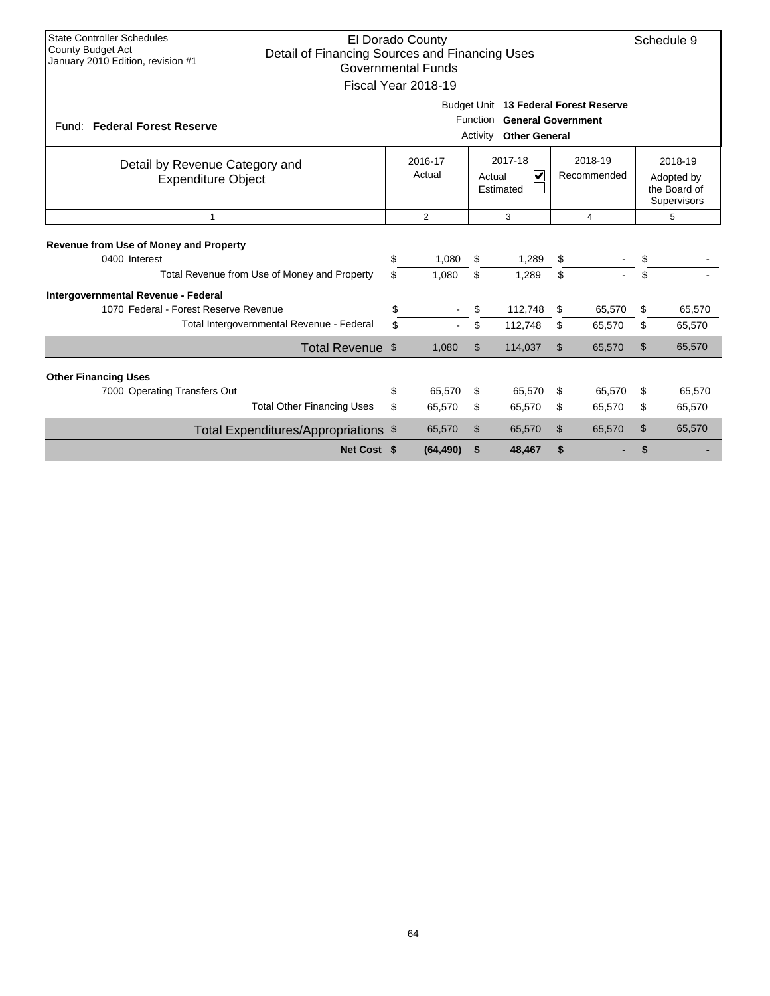| <b>State Controller Schedules</b><br>El Dorado County<br>Schedule 9<br><b>County Budget Act</b><br>Detail of Financing Sources and Financing Uses<br>January 2010 Edition, revision #1<br><b>Governmental Funds</b><br>Fiscal Year 2018-19 |                                                                                                          |                   |                |                                                        |                        |                  |                |                                                             |  |  |  |  |
|--------------------------------------------------------------------------------------------------------------------------------------------------------------------------------------------------------------------------------------------|----------------------------------------------------------------------------------------------------------|-------------------|----------------|--------------------------------------------------------|------------------------|------------------|----------------|-------------------------------------------------------------|--|--|--|--|
| Fund: Federal Forest Reserve                                                                                                                                                                                                               | Budget Unit 13 Federal Forest Reserve<br>Function General Government<br>Activity<br><b>Other General</b> |                   |                |                                                        |                        |                  |                |                                                             |  |  |  |  |
| Detail by Revenue Category and<br><b>Expenditure Object</b>                                                                                                                                                                                |                                                                                                          | 2016-17<br>Actual |                | 2017-18<br>$\blacktriangledown$<br>Actual<br>Estimated | 2018-19<br>Recommended |                  |                | 2018-19<br>Adopted by<br>the Board of<br><b>Supervisors</b> |  |  |  |  |
| $\mathbf{1}$                                                                                                                                                                                                                               |                                                                                                          | $\overline{2}$    | 3              |                                                        | 4                      |                  | 5              |                                                             |  |  |  |  |
| <b>Revenue from Use of Money and Property</b><br>0400 Interest<br>Total Revenue from Use of Money and Property                                                                                                                             | \$<br>\$                                                                                                 | 1,080<br>1,080    | \$<br>\$       | 1,289<br>1,289                                         | \$<br>\$               |                  | \$<br>\$       |                                                             |  |  |  |  |
| Intergovernmental Revenue - Federal<br>1070 Federal - Forest Reserve Revenue<br>Total Intergovernmental Revenue - Federal                                                                                                                  | \$<br>\$                                                                                                 |                   | \$<br>\$       | 112,748<br>112,748                                     | \$<br>\$               | 65.570<br>65,570 | \$<br>\$       | 65,570<br>65,570                                            |  |  |  |  |
| Total Revenue \$                                                                                                                                                                                                                           |                                                                                                          | 1,080             | \$             | 114,037                                                | \$                     | 65,570           | $\mathfrak{S}$ | 65,570                                                      |  |  |  |  |
| <b>Other Financing Uses</b><br>7000 Operating Transfers Out                                                                                                                                                                                | \$                                                                                                       | 65.570            | \$             | 65,570                                                 | \$                     | 65,570           | \$             | 65,570                                                      |  |  |  |  |
| <b>Total Other Financing Uses</b>                                                                                                                                                                                                          | \$                                                                                                       | 65,570            | \$             | 65,570                                                 | \$                     | 65,570           | \$             | 65,570                                                      |  |  |  |  |
| Total Expenditures/Appropriations \$                                                                                                                                                                                                       |                                                                                                          | 65,570            | $\mathfrak{L}$ | 65,570                                                 | $\mathfrak{S}$         | 65,570           | \$             | 65,570                                                      |  |  |  |  |
| Net Cost \$                                                                                                                                                                                                                                |                                                                                                          | (64, 490)         | \$             | 48.467                                                 | \$                     |                  |                |                                                             |  |  |  |  |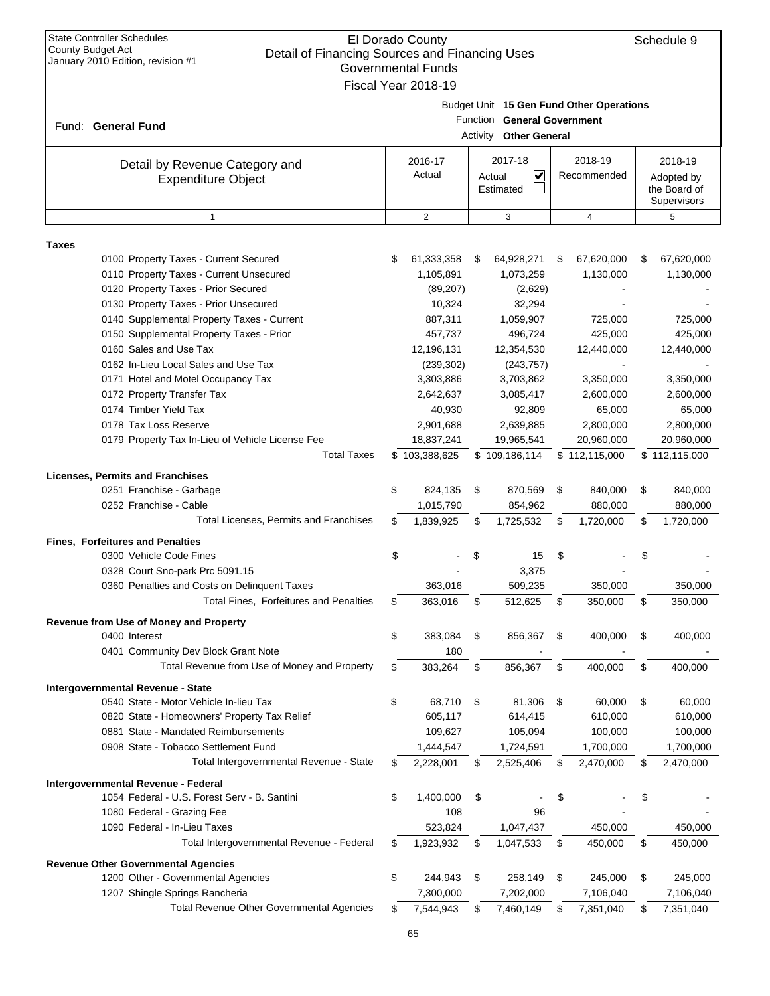| <b>State Controller Schedules</b><br>El Dorado County<br>Schedule 9<br><b>County Budget Act</b><br>Detail of Financing Sources and Financing Uses<br>January 2010 Edition, revision #1<br><b>Governmental Funds</b><br>Fiscal Year 2018-19             |         |                                                             |            |                                                             |          |                                                             |          |                                                             |  |  |
|--------------------------------------------------------------------------------------------------------------------------------------------------------------------------------------------------------------------------------------------------------|---------|-------------------------------------------------------------|------------|-------------------------------------------------------------|----------|-------------------------------------------------------------|----------|-------------------------------------------------------------|--|--|
| Fund: General Fund                                                                                                                                                                                                                                     |         |                                                             |            | Function General Government<br>Activity Other General       |          | Budget Unit 15 Gen Fund Other Operations                    |          |                                                             |  |  |
| Detail by Revenue Category and<br><b>Expenditure Object</b>                                                                                                                                                                                            |         | 2016-17<br>Actual                                           |            | 2017-18<br>V<br>Actual<br>Estimated                         |          | 2018-19<br>Recommended                                      |          | 2018-19<br>Adopted by<br>the Board of<br>Supervisors        |  |  |
| $\mathbf{1}$                                                                                                                                                                                                                                           |         | $\overline{2}$                                              |            | 3                                                           |          | $\overline{4}$                                              |          | 5                                                           |  |  |
| Taxes                                                                                                                                                                                                                                                  |         |                                                             |            |                                                             |          |                                                             |          |                                                             |  |  |
| 0100 Property Taxes - Current Secured<br>0110 Property Taxes - Current Unsecured<br>0120 Property Taxes - Prior Secured<br>0130 Property Taxes - Prior Unsecured<br>0140 Supplemental Property Taxes - Current                                         | S       | 61,333,358<br>1,105,891<br>(89, 207)<br>10,324<br>887,311   | \$         | 64,928,271<br>1,073,259<br>(2,629)<br>32,294<br>1,059,907   | \$       | 67,620,000<br>1,130,000<br>725,000                          | \$       | 67,620,000<br>1,130,000<br>725,000                          |  |  |
| 0150 Supplemental Property Taxes - Prior<br>0160 Sales and Use Tax<br>0162 In-Lieu Local Sales and Use Tax                                                                                                                                             |         | 457,737<br>12,196,131<br>(239, 302)                         |            | 496,724<br>12,354,530<br>(243, 757)                         |          | 425,000<br>12,440,000                                       |          | 425,000<br>12,440,000                                       |  |  |
| 0171 Hotel and Motel Occupancy Tax<br>0172 Property Transfer Tax<br>0174 Timber Yield Tax<br>0178 Tax Loss Reserve<br>0179 Property Tax In-Lieu of Vehicle License Fee                                                                                 |         | 3,303,886<br>2,642,637<br>40,930<br>2,901,688<br>18,837,241 |            | 3,703,862<br>3,085,417<br>92,809<br>2,639,885<br>19,965,541 |          | 3,350,000<br>2,600,000<br>65,000<br>2,800,000<br>20,960,000 |          | 3,350,000<br>2,600,000<br>65,000<br>2,800,000<br>20,960,000 |  |  |
| <b>Total Taxes</b>                                                                                                                                                                                                                                     |         | \$103,388,625                                               |            | \$109,186,114                                               |          | \$112,115,000                                               |          | \$112,115,000                                               |  |  |
| <b>Licenses, Permits and Franchises</b><br>0251 Franchise - Garbage<br>0252 Franchise - Cable                                                                                                                                                          | \$      | 824,135<br>1,015,790                                        | \$         | 870,569<br>854,962                                          | \$       | 840,000<br>880,000                                          | \$       | 840,000<br>880,000                                          |  |  |
| Total Licenses, Permits and Franchises                                                                                                                                                                                                                 | \$      | 1,839,925                                                   | \$         | 1,725,532                                                   | \$       | 1,720,000                                                   | \$       | 1,720,000                                                   |  |  |
| Fines, Forfeitures and Penalties                                                                                                                                                                                                                       |         |                                                             |            |                                                             |          |                                                             |          |                                                             |  |  |
| 0300 Vehicle Code Fines                                                                                                                                                                                                                                | \$      |                                                             | \$         | 15                                                          | \$       |                                                             | \$       |                                                             |  |  |
| 0328 Court Sno-park Prc 5091.15                                                                                                                                                                                                                        |         |                                                             |            | 3,375                                                       |          |                                                             |          |                                                             |  |  |
| 0360 Penalties and Costs on Delinquent Taxes                                                                                                                                                                                                           |         | 363,016                                                     |            | 509,235                                                     |          | 350,000                                                     |          | 350,000                                                     |  |  |
| Total Fines, Forfeitures and Penalties                                                                                                                                                                                                                 | \$      | 363,016                                                     | \$         | 512,625                                                     | \$       | 350,000                                                     | \$       | 350,000                                                     |  |  |
| Revenue from Use of Money and Property<br>0400 Interest<br>0401 Community Dev Block Grant Note                                                                                                                                                         | \$      | 383,084<br>180                                              | \$         | 856,367                                                     | \$       | 400,000                                                     | \$       | 400,000                                                     |  |  |
| Total Revenue from Use of Money and Property                                                                                                                                                                                                           | \$      | 383,264                                                     | \$         | 856,367                                                     | \$       | 400,000                                                     | \$       | 400,000                                                     |  |  |
| Intergovernmental Revenue - State<br>0540 State - Motor Vehicle In-lieu Tax<br>0820 State - Homeowners' Property Tax Relief<br>0881 State - Mandated Reimbursements<br>0908 State - Tobacco Settlement Fund<br>Total Intergovernmental Revenue - State | \$<br>S | 68,710<br>605,117<br>109,627<br>1,444,547<br>2,228,001      | - \$<br>\$ | 81,306<br>614,415<br>105,094<br>1,724,591<br>2,525,406      | \$<br>\$ | 60,000<br>610,000<br>100,000<br>1,700,000<br>2,470,000      | \$<br>\$ | 60,000<br>610,000<br>100,000<br>1,700,000<br>2,470,000      |  |  |
|                                                                                                                                                                                                                                                        |         |                                                             |            |                                                             |          |                                                             |          |                                                             |  |  |
| Intergovernmental Revenue - Federal<br>1054 Federal - U.S. Forest Serv - B. Santini<br>1080 Federal - Grazing Fee<br>1090 Federal - In-Lieu Taxes                                                                                                      | \$      | 1,400,000<br>108<br>523,824                                 | \$         | 96<br>1,047,437                                             | \$       | 450,000                                                     | \$       | 450,000                                                     |  |  |
| Total Intergovernmental Revenue - Federal                                                                                                                                                                                                              | \$      | 1,923,932                                                   | \$         | 1,047,533                                                   | \$       | 450,000                                                     | \$       | 450,000                                                     |  |  |
| <b>Revenue Other Governmental Agencies</b>                                                                                                                                                                                                             |         |                                                             |            |                                                             |          |                                                             |          |                                                             |  |  |
| 1200 Other - Governmental Agencies<br>1207 Shingle Springs Rancheria                                                                                                                                                                                   | \$      | 244,943<br>7,300,000                                        | \$         | 258,149<br>7,202,000                                        | \$       | 245,000<br>7,106,040                                        | \$       | 245,000<br>7,106,040                                        |  |  |
| <b>Total Revenue Other Governmental Agencies</b>                                                                                                                                                                                                       | \$      | 7,544,943                                                   | \$         | 7,460,149                                                   | \$       | 7,351,040                                                   | \$       | 7,351,040                                                   |  |  |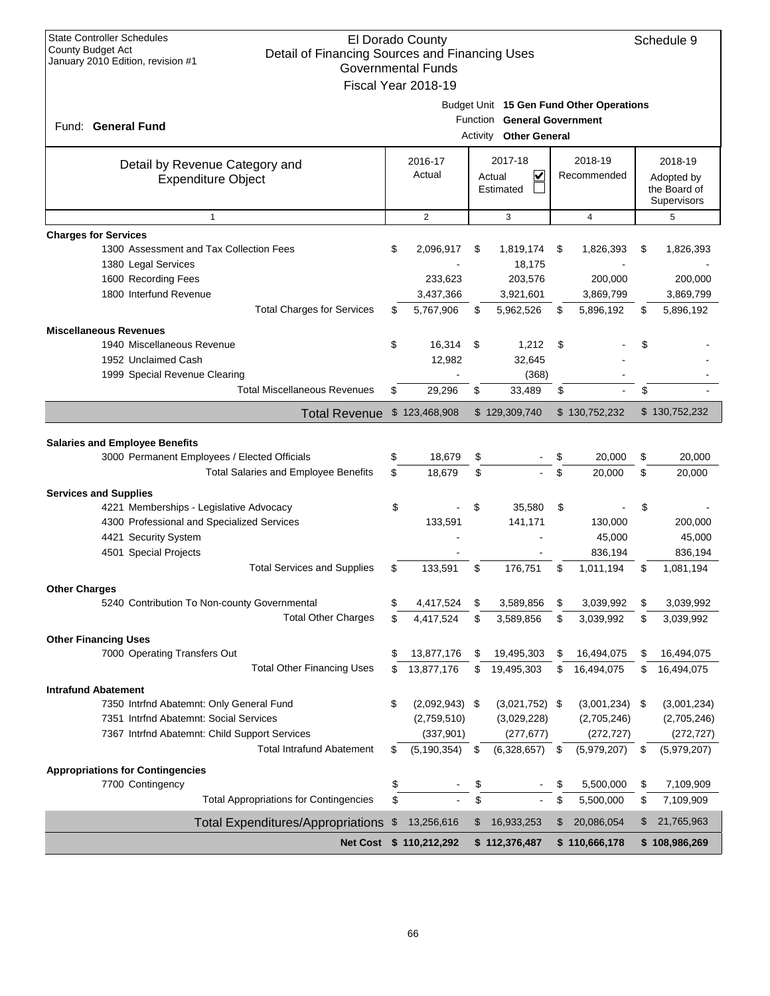| <b>State Controller Schedules</b><br><b>County Budget Act</b>                         |    | El Dorado County          |                                                                 |    |                                          |    | Schedule 9                 |
|---------------------------------------------------------------------------------------|----|---------------------------|-----------------------------------------------------------------|----|------------------------------------------|----|----------------------------|
| Detail of Financing Sources and Financing Uses<br>January 2010 Edition, revision #1   |    | <b>Governmental Funds</b> |                                                                 |    |                                          |    |                            |
|                                                                                       |    | Fiscal Year 2018-19       |                                                                 |    |                                          |    |                            |
|                                                                                       |    |                           |                                                                 |    |                                          |    |                            |
|                                                                                       |    |                           |                                                                 |    | Budget Unit 15 Gen Fund Other Operations |    |                            |
| Fund: General Fund                                                                    |    |                           | Function General Government<br><b>Other General</b><br>Activity |    |                                          |    |                            |
|                                                                                       |    |                           |                                                                 |    |                                          |    |                            |
| Detail by Revenue Category and                                                        |    | 2016-17                   | 2017-18                                                         |    | 2018-19                                  |    | 2018-19                    |
| <b>Expenditure Object</b>                                                             |    | Actual                    | V<br>Recommended<br>Actual                                      |    |                                          |    | Adopted by<br>the Board of |
|                                                                                       |    |                           | Estimated                                                       |    |                                          |    | Supervisors                |
| $\mathbf{1}$                                                                          |    | $\overline{2}$            | 3                                                               |    | 4                                        |    | 5                          |
| <b>Charges for Services</b>                                                           |    |                           |                                                                 |    |                                          |    |                            |
| 1300 Assessment and Tax Collection Fees                                               | \$ | 2,096,917                 | \$<br>1,819,174                                                 | \$ | 1,826,393                                | \$ | 1,826,393                  |
| 1380 Legal Services                                                                   |    |                           | 18,175                                                          |    |                                          |    |                            |
| 1600 Recording Fees                                                                   |    | 233,623                   | 203,576                                                         |    | 200,000                                  |    | 200,000                    |
| 1800 Interfund Revenue                                                                |    | 3,437,366                 | 3,921,601                                                       |    | 3,869,799                                |    | 3,869,799                  |
| <b>Total Charges for Services</b>                                                     | S  | 5,767,906                 | \$<br>5,962,526                                                 | \$ | 5,896,192                                | \$ | 5,896,192                  |
| <b>Miscellaneous Revenues</b>                                                         |    |                           |                                                                 |    |                                          |    |                            |
| 1940 Miscellaneous Revenue                                                            | \$ | 16,314                    | \$<br>1,212                                                     | \$ |                                          | \$ |                            |
| 1952 Unclaimed Cash                                                                   |    | 12,982                    | 32.645                                                          |    |                                          |    |                            |
| 1999 Special Revenue Clearing                                                         |    |                           | (368)                                                           |    |                                          |    |                            |
| <b>Total Miscellaneous Revenues</b>                                                   | \$ | 29,296                    | \$<br>33,489                                                    | \$ |                                          | \$ |                            |
| Total Revenue \$ 123,468,908                                                          |    |                           | \$129,309,740                                                   |    | \$130,752,232                            |    | \$130,752,232              |
|                                                                                       |    |                           |                                                                 |    |                                          |    |                            |
| <b>Salaries and Employee Benefits</b><br>3000 Permanent Employees / Elected Officials | \$ | 18,679                    | \$                                                              | S  | 20,000                                   | \$ | 20,000                     |
| <b>Total Salaries and Employee Benefits</b>                                           | \$ | 18,679                    | \$                                                              | \$ | 20,000                                   | \$ | 20,000                     |
|                                                                                       |    |                           |                                                                 |    |                                          |    |                            |
| <b>Services and Supplies</b><br>4221 Memberships - Legislative Advocacy               | \$ |                           | \$<br>35,580                                                    | \$ |                                          | \$ |                            |
| 4300 Professional and Specialized Services                                            |    | 133,591                   | 141,171                                                         |    | 130,000                                  |    | 200,000                    |
| 4421 Security System                                                                  |    |                           |                                                                 |    | 45,000                                   |    | 45,000                     |
| 4501 Special Projects                                                                 |    |                           |                                                                 |    | 836,194                                  |    | 836,194                    |
| <b>Total Services and Supplies</b>                                                    | \$ | 133,591                   | \$<br>176,751                                                   | \$ | 1,011,194                                | \$ | 1,081,194                  |
| <b>Other Charges</b>                                                                  |    |                           |                                                                 |    |                                          |    |                            |
| 5240 Contribution To Non-county Governmental                                          | \$ | 4,417,524                 | \$<br>3,589,856                                                 | \$ | 3,039,992                                | \$ | 3,039,992                  |
| <b>Total Other Charges</b>                                                            | \$ | 4,417,524                 | \$<br>3,589,856                                                 | \$ | 3,039,992                                | \$ | 3,039,992                  |
| <b>Other Financing Uses</b>                                                           |    |                           |                                                                 |    |                                          |    |                            |
| 7000 Operating Transfers Out                                                          | \$ | 13,877,176                | \$<br>19,495,303                                                | \$ | 16,494,075                               | \$ | 16,494,075                 |
| <b>Total Other Financing Uses</b>                                                     | \$ | 13,877,176                | \$<br>19,495,303                                                | \$ | 16,494,075                               | \$ | 16,494,075                 |
| <b>Intrafund Abatement</b>                                                            |    |                           |                                                                 |    |                                          |    |                            |
| 7350 Intrfnd Abatemnt: Only General Fund                                              | \$ | $(2,092,943)$ \$          | $(3,021,752)$ \$                                                |    | (3,001,234)                              | \$ | (3,001,234)                |
| 7351 Intrfnd Abatemnt: Social Services                                                |    | (2,759,510)               | (3,029,228)                                                     |    | (2,705,246)                              |    | (2,705,246)                |
| 7367 Intrfnd Abatemnt: Child Support Services                                         |    | (337, 901)                | (277, 677)                                                      |    | (272, 727)                               |    | (272, 727)                 |
| <b>Total Intrafund Abatement</b>                                                      | \$ | (5, 190, 354)             | \$<br>(6,328,657)                                               | \$ | (5,979,207)                              | \$ | (5,979,207)                |
| <b>Appropriations for Contingencies</b>                                               |    |                           |                                                                 |    |                                          |    |                            |
| 7700 Contingency                                                                      | \$ |                           | \$                                                              | \$ | 5,500,000                                | \$ | 7,109,909                  |
| <b>Total Appropriations for Contingencies</b>                                         | \$ |                           | \$                                                              | \$ | 5,500,000                                | \$ | 7,109,909                  |
| <b>Total Expenditures/Appropriations</b>                                              | \$ | 13,256,616                | \$<br>16,933,253                                                | \$ | 20,086,054                               | \$ | 21,765,963                 |
| <b>Net Cost</b>                                                                       |    | \$110,212,292             | \$112,376,487                                                   |    | \$110,666,178                            |    | \$108,986,269              |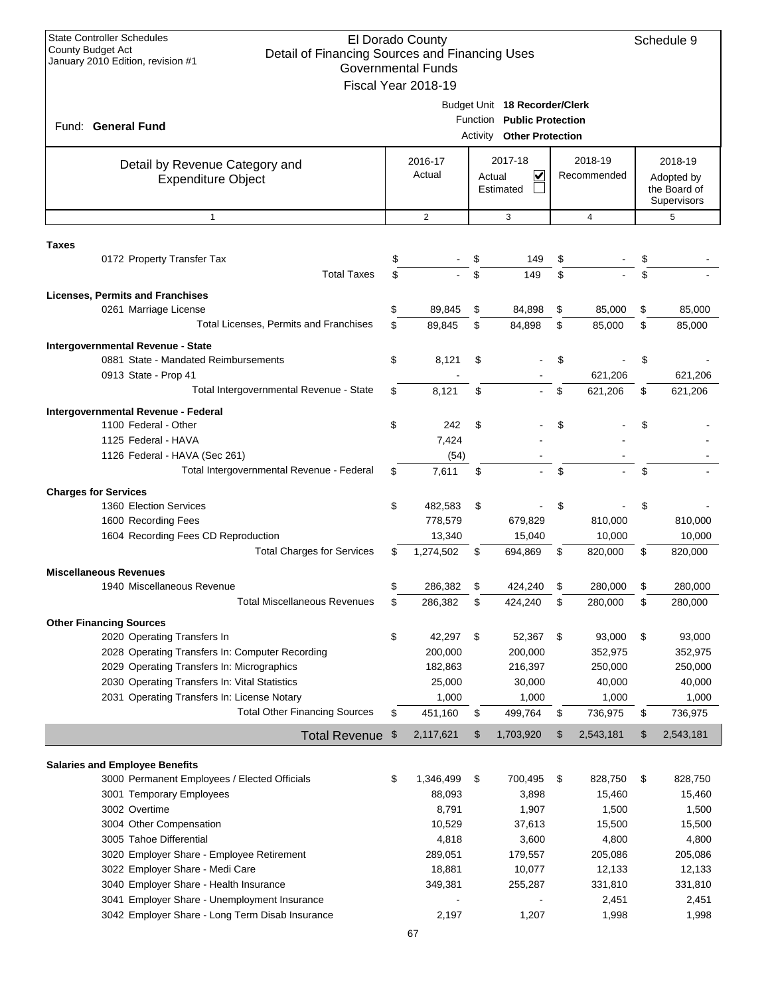| <b>State Controller Schedules</b><br>El Dorado County<br><b>County Budget Act</b><br>Detail of Financing Sources and Financing Uses<br>January 2010 Edition, revision #1<br><b>Governmental Funds</b><br>Fiscal Year 2018-19 |    |                   | Schedule 9 |                                                                                          |      |                        |    |                                                      |
|------------------------------------------------------------------------------------------------------------------------------------------------------------------------------------------------------------------------------|----|-------------------|------------|------------------------------------------------------------------------------------------|------|------------------------|----|------------------------------------------------------|
| Fund: General Fund                                                                                                                                                                                                           |    |                   |            | Budget Unit 18 Recorder/Clerk<br>Function Public Protection<br>Activity Other Protection |      |                        |    |                                                      |
| Detail by Revenue Category and<br><b>Expenditure Object</b>                                                                                                                                                                  |    | 2016-17<br>Actual | Actual     | 2017-18<br>V<br>Estimated                                                                |      | 2018-19<br>Recommended |    | 2018-19<br>Adopted by<br>the Board of<br>Supervisors |
| $\mathbf{1}$                                                                                                                                                                                                                 |    | 2                 |            | 3                                                                                        |      | 4                      |    | 5                                                    |
| Taxes                                                                                                                                                                                                                        |    |                   |            |                                                                                          |      |                        |    |                                                      |
| 0172 Property Transfer Tax                                                                                                                                                                                                   |    |                   |            | 149                                                                                      |      |                        |    |                                                      |
| <b>Total Taxes</b>                                                                                                                                                                                                           | \$ |                   | \$         | 149                                                                                      | \$   |                        |    |                                                      |
| <b>Licenses, Permits and Franchises</b>                                                                                                                                                                                      |    |                   |            |                                                                                          |      |                        |    |                                                      |
| 0261 Marriage License                                                                                                                                                                                                        | \$ | 89,845            | \$         | 84,898                                                                                   | \$   | 85,000                 | \$ | 85,000                                               |
| Total Licenses, Permits and Franchises                                                                                                                                                                                       | \$ | 89,845            | \$         | 84,898                                                                                   | \$   | 85,000                 | \$ | 85,000                                               |
| Intergovernmental Revenue - State<br>0881 State - Mandated Reimbursements                                                                                                                                                    | \$ | 8,121             | \$         |                                                                                          | \$   |                        | \$ |                                                      |
| 0913 State - Prop 41<br>Total Intergovernmental Revenue - State                                                                                                                                                              | \$ | 8,121             | \$         |                                                                                          | \$   | 621,206<br>621,206     | \$ | 621,206<br>621,206                                   |
|                                                                                                                                                                                                                              |    |                   |            |                                                                                          |      |                        |    |                                                      |
| Intergovernmental Revenue - Federal<br>1100 Federal - Other                                                                                                                                                                  | \$ | 242               | \$         |                                                                                          |      |                        |    |                                                      |
| 1125 Federal - HAVA                                                                                                                                                                                                          |    | 7,424             |            |                                                                                          | \$   |                        |    |                                                      |
| 1126 Federal - HAVA (Sec 261)                                                                                                                                                                                                |    | (54)              |            |                                                                                          |      |                        |    |                                                      |
| Total Intergovernmental Revenue - Federal                                                                                                                                                                                    | \$ | 7,611             | \$         |                                                                                          | \$   |                        |    |                                                      |
|                                                                                                                                                                                                                              |    |                   |            |                                                                                          |      |                        |    |                                                      |
| <b>Charges for Services</b><br>1360 Election Services                                                                                                                                                                        | \$ | 482,583           | \$         |                                                                                          | \$   |                        | S  |                                                      |
| 1600 Recording Fees                                                                                                                                                                                                          |    | 778,579           |            | 679,829                                                                                  |      | 810,000                |    | 810,000                                              |
| 1604 Recording Fees CD Reproduction                                                                                                                                                                                          |    | 13,340            |            | 15,040                                                                                   |      | 10,000                 |    | 10,000                                               |
| <b>Total Charges for Services</b>                                                                                                                                                                                            | S  | 1,274,502         | \$         | 694,869                                                                                  | \$   | 820,000                | \$ | 820,000                                              |
| <b>Miscellaneous Revenues</b>                                                                                                                                                                                                |    |                   |            |                                                                                          |      |                        |    |                                                      |
| 1940 Miscellaneous Revenue                                                                                                                                                                                                   |    | 286,382           |            | 424,240                                                                                  |      | 280,000                |    | 280,000                                              |
| <b>Total Miscellaneous Revenues</b>                                                                                                                                                                                          | \$ | 286,382           | \$         | 424,240                                                                                  | \$   | 280,000                | \$ | 280,000                                              |
| <b>Other Financing Sources</b>                                                                                                                                                                                               |    |                   |            |                                                                                          |      |                        |    |                                                      |
| 2020 Operating Transfers In                                                                                                                                                                                                  | \$ | 42,297            | \$         | 52,367                                                                                   | - \$ | 93,000                 | \$ | 93,000                                               |
| 2028 Operating Transfers In: Computer Recording                                                                                                                                                                              |    | 200,000           |            | 200,000                                                                                  |      | 352,975                |    | 352,975                                              |
| 2029 Operating Transfers In: Micrographics                                                                                                                                                                                   |    | 182,863           |            | 216,397                                                                                  |      | 250,000                |    | 250,000                                              |
| 2030 Operating Transfers In: Vital Statistics                                                                                                                                                                                |    | 25,000            |            | 30,000                                                                                   |      | 40,000                 |    | 40,000                                               |
| 2031 Operating Transfers In: License Notary                                                                                                                                                                                  |    | 1,000             |            | 1,000                                                                                    |      | 1,000                  |    | 1,000                                                |
| <b>Total Other Financing Sources</b>                                                                                                                                                                                         | \$ | 451,160           | \$         | 499,764                                                                                  | \$   | 736,975                | \$ | 736,975                                              |
| Total Revenue \$                                                                                                                                                                                                             |    | 2,117,621         | \$         | 1,703,920                                                                                | \$   | 2,543,181              | \$ | 2,543,181                                            |
|                                                                                                                                                                                                                              |    |                   |            |                                                                                          |      |                        |    |                                                      |
| <b>Salaries and Employee Benefits</b><br>3000 Permanent Employees / Elected Officials                                                                                                                                        | \$ | 1,346,499         | \$         | 700,495                                                                                  | \$   | 828,750                | \$ | 828,750                                              |
| 3001 Temporary Employees                                                                                                                                                                                                     |    | 88,093            |            | 3,898                                                                                    |      | 15,460                 |    | 15,460                                               |
| 3002 Overtime                                                                                                                                                                                                                |    | 8,791             |            | 1,907                                                                                    |      | 1,500                  |    | 1,500                                                |
| 3004 Other Compensation                                                                                                                                                                                                      |    | 10,529            |            | 37,613                                                                                   |      | 15,500                 |    | 15,500                                               |
| 3005 Tahoe Differential                                                                                                                                                                                                      |    | 4,818             |            | 3,600                                                                                    |      | 4,800                  |    | 4,800                                                |
| 3020 Employer Share - Employee Retirement                                                                                                                                                                                    |    | 289,051           |            | 179,557                                                                                  |      | 205,086                |    | 205,086                                              |
| 3022 Employer Share - Medi Care                                                                                                                                                                                              |    | 18,881            |            | 10,077                                                                                   |      | 12,133                 |    | 12,133                                               |
| 3040 Employer Share - Health Insurance                                                                                                                                                                                       |    | 349,381           |            | 255,287                                                                                  |      | 331,810                |    | 331,810                                              |
| 3041 Employer Share - Unemployment Insurance                                                                                                                                                                                 |    |                   |            |                                                                                          |      | 2,451                  |    | 2,451                                                |
| 3042 Employer Share - Long Term Disab Insurance                                                                                                                                                                              |    | 2,197             |            | 1,207                                                                                    |      | 1,998                  |    | 1,998                                                |
|                                                                                                                                                                                                                              |    | 67                |            |                                                                                          |      |                        |    |                                                      |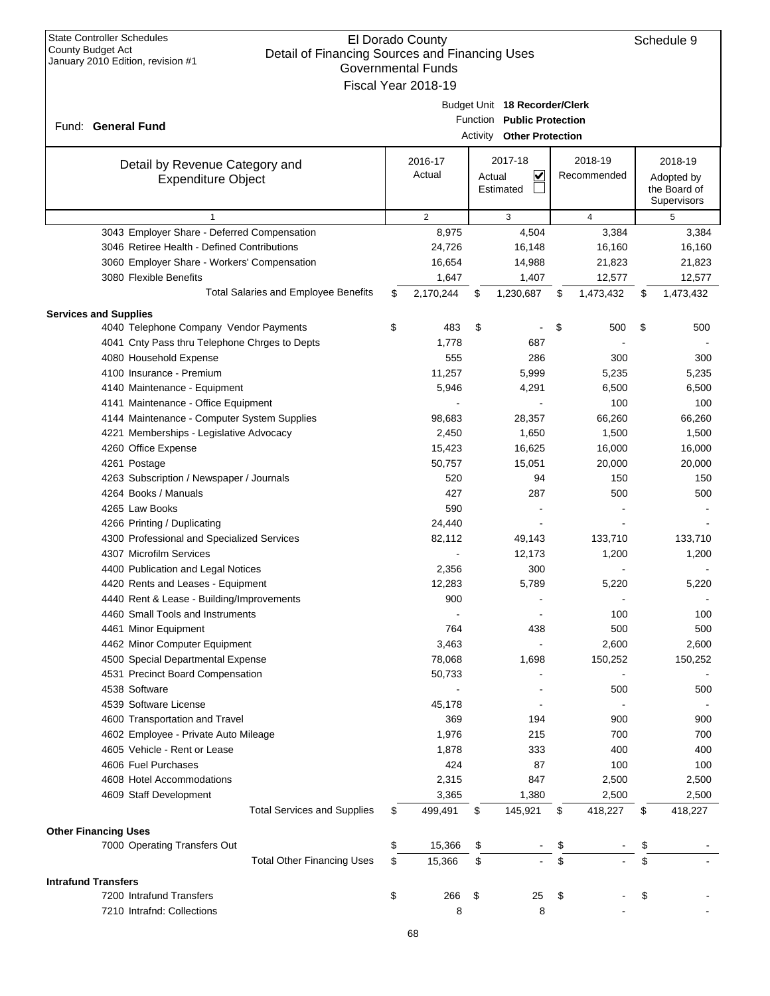| <b>State Controller Schedules</b><br><b>County Budget Act</b><br>Detail of Financing Sources and Financing Uses<br>January 2010 Edition, revision #1 | El Dorado County<br><b>Governmental Funds</b><br>Fiscal Year 2018-19 |        |                                                                                          |                        | Schedule 9                                           |
|------------------------------------------------------------------------------------------------------------------------------------------------------|----------------------------------------------------------------------|--------|------------------------------------------------------------------------------------------|------------------------|------------------------------------------------------|
| Fund: General Fund                                                                                                                                   |                                                                      |        | Budget Unit 18 Recorder/Clerk<br>Function Public Protection<br>Activity Other Protection |                        |                                                      |
| Detail by Revenue Category and<br><b>Expenditure Object</b>                                                                                          | 2016-17<br>Actual                                                    | Actual | 2017-18<br>V<br>Estimated                                                                | 2018-19<br>Recommended | 2018-19<br>Adopted by<br>the Board of<br>Supervisors |
| $\mathbf{1}$                                                                                                                                         | 2                                                                    |        | 3                                                                                        | $\overline{4}$         | 5                                                    |
| 3043 Employer Share - Deferred Compensation                                                                                                          | 8,975                                                                |        | 4,504                                                                                    | 3,384                  | 3,384                                                |
| 3046 Retiree Health - Defined Contributions                                                                                                          | 24,726                                                               |        | 16,148                                                                                   | 16,160                 | 16,160                                               |
| 3060 Employer Share - Workers' Compensation                                                                                                          | 16,654                                                               |        | 14,988                                                                                   | 21,823                 | 21,823                                               |
| 3080 Flexible Benefits                                                                                                                               | 1,647                                                                |        | 1,407                                                                                    | 12,577                 | 12,577                                               |
| <b>Total Salaries and Employee Benefits</b>                                                                                                          | \$<br>2,170,244                                                      | \$     | 1,230,687                                                                                | \$<br>1,473,432        | \$<br>1,473,432                                      |
| <b>Services and Supplies</b>                                                                                                                         |                                                                      |        |                                                                                          |                        |                                                      |
| 4040 Telephone Company Vendor Payments                                                                                                               | \$<br>483                                                            | \$     |                                                                                          | \$<br>500              | \$<br>500                                            |
| 4041 Cnty Pass thru Telephone Chrges to Depts                                                                                                        | 1,778                                                                |        | 687                                                                                      |                        |                                                      |
| 4080 Household Expense                                                                                                                               | 555                                                                  |        | 286                                                                                      | 300                    | 300                                                  |
| 4100 Insurance - Premium                                                                                                                             | 11,257                                                               |        | 5,999                                                                                    | 5,235                  | 5,235                                                |
| 4140 Maintenance - Equipment                                                                                                                         | 5,946                                                                |        | 4,291                                                                                    | 6,500                  | 6,500                                                |
| 4141 Maintenance - Office Equipment                                                                                                                  |                                                                      |        |                                                                                          | 100                    | 100                                                  |
| 4144 Maintenance - Computer System Supplies                                                                                                          | 98,683                                                               |        | 28,357                                                                                   | 66,260                 | 66,260                                               |
| 4221 Memberships - Legislative Advocacy                                                                                                              | 2,450                                                                |        | 1,650                                                                                    | 1,500                  | 1,500                                                |
| 4260 Office Expense                                                                                                                                  | 15,423                                                               |        | 16,625                                                                                   | 16,000                 | 16,000                                               |
| 4261 Postage                                                                                                                                         | 50,757                                                               |        | 15,051                                                                                   | 20,000                 | 20,000                                               |
| 4263 Subscription / Newspaper / Journals                                                                                                             | 520                                                                  |        | 94                                                                                       | 150                    | 150                                                  |
| 4264 Books / Manuals                                                                                                                                 | 427                                                                  |        | 287                                                                                      | 500                    | 500                                                  |
| 4265 Law Books                                                                                                                                       | 590                                                                  |        |                                                                                          |                        |                                                      |
| 4266 Printing / Duplicating                                                                                                                          | 24,440                                                               |        |                                                                                          |                        |                                                      |
| 4300 Professional and Specialized Services                                                                                                           | 82,112                                                               |        | 49,143                                                                                   | 133,710                | 133,710                                              |
| 4307 Microfilm Services                                                                                                                              |                                                                      |        | 12,173                                                                                   | 1,200                  | 1,200                                                |
| 4400 Publication and Legal Notices                                                                                                                   | 2,356                                                                |        | 300                                                                                      |                        |                                                      |
| 4420 Rents and Leases - Equipment                                                                                                                    | 12,283                                                               |        | 5,789                                                                                    | 5,220                  | 5,220                                                |
| 4440 Rent & Lease - Building/Improvements                                                                                                            | 900                                                                  |        | $\overline{\phantom{a}}$                                                                 |                        |                                                      |
| 4460 Small Tools and Instruments                                                                                                                     |                                                                      |        |                                                                                          | 100                    | 100                                                  |
| 4461 Minor Equipment                                                                                                                                 | 764                                                                  |        | 438                                                                                      | 500                    | 500                                                  |
| 4462 Minor Computer Equipment                                                                                                                        | 3,463                                                                |        |                                                                                          | 2,600                  | 2,600                                                |
| 4500 Special Departmental Expense                                                                                                                    | 78,068                                                               |        | 1,698                                                                                    | 150,252                | 150,252                                              |
| 4531 Precinct Board Compensation                                                                                                                     | 50,733                                                               |        |                                                                                          |                        |                                                      |
| 4538 Software                                                                                                                                        |                                                                      |        |                                                                                          | 500                    | 500                                                  |
| 4539 Software License                                                                                                                                | 45,178                                                               |        |                                                                                          |                        |                                                      |
| 4600 Transportation and Travel                                                                                                                       | 369                                                                  |        | 194                                                                                      | 900                    | 900                                                  |
| 4602 Employee - Private Auto Mileage                                                                                                                 | 1,976                                                                |        | 215                                                                                      | 700                    | 700                                                  |
| 4605 Vehicle - Rent or Lease                                                                                                                         | 1,878                                                                |        | 333                                                                                      | 400                    | 400                                                  |
| 4606 Fuel Purchases                                                                                                                                  | 424                                                                  |        | 87                                                                                       | 100                    | 100                                                  |
| 4608 Hotel Accommodations                                                                                                                            | 2,315                                                                |        | 847                                                                                      | 2,500                  | 2,500                                                |
| 4609 Staff Development                                                                                                                               | 3,365                                                                |        | 1,380                                                                                    | 2,500                  | 2,500                                                |
| <b>Total Services and Supplies</b>                                                                                                                   | \$<br>499,491                                                        | \$     | 145,921                                                                                  | \$<br>418,227          | \$<br>418,227                                        |
|                                                                                                                                                      |                                                                      |        |                                                                                          |                        |                                                      |
| <b>Other Financing Uses</b>                                                                                                                          |                                                                      |        |                                                                                          |                        |                                                      |
| 7000 Operating Transfers Out                                                                                                                         | \$<br>15,366                                                         | \$     |                                                                                          | \$                     | \$                                                   |
| <b>Total Other Financing Uses</b>                                                                                                                    | \$<br>15,366                                                         | \$     |                                                                                          | \$                     | \$                                                   |
| <b>Intrafund Transfers</b>                                                                                                                           |                                                                      |        |                                                                                          |                        |                                                      |
| 7200 Intrafund Transfers                                                                                                                             | \$<br>266                                                            | \$     | 25                                                                                       | \$                     | \$                                                   |
| 7210 Intrafnd: Collections                                                                                                                           | 8                                                                    |        | 8                                                                                        |                        |                                                      |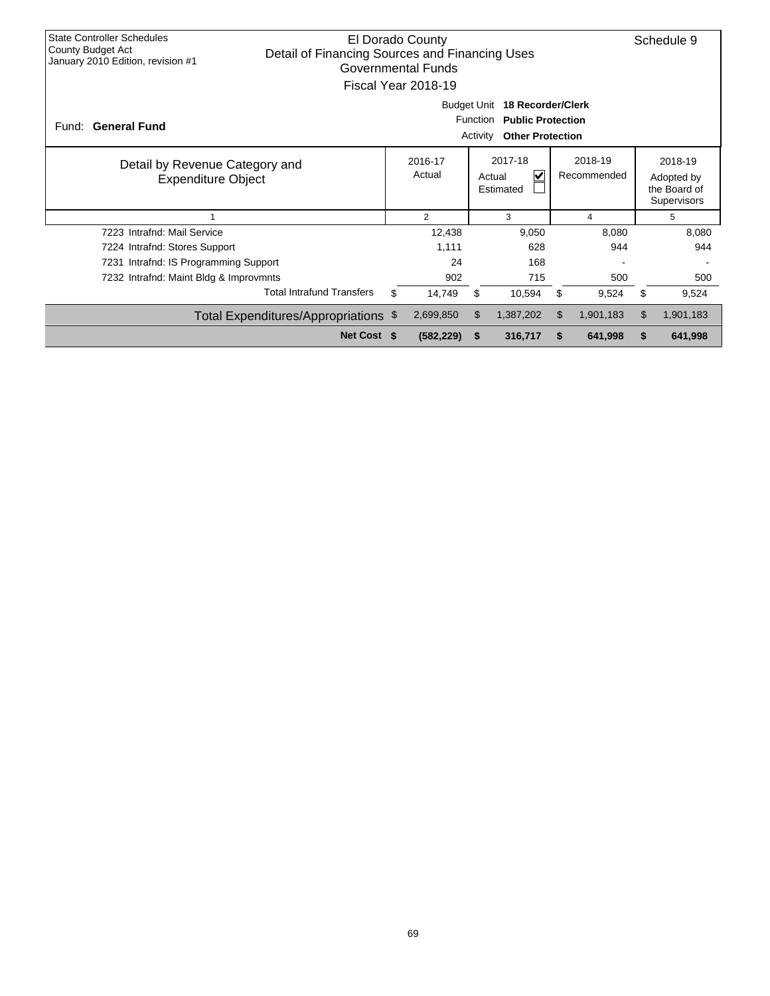| <b>State Controller Schedules</b><br>County Budget Act<br>January 2010 Edition, revision #1 | Detail of Financing Sources and Financing Uses | El Dorado County<br>Governmental Funds<br>Fiscal Year 2018-19 |                             |                                                                          |    |                        |    | Schedule 9                                           |
|---------------------------------------------------------------------------------------------|------------------------------------------------|---------------------------------------------------------------|-----------------------------|--------------------------------------------------------------------------|----|------------------------|----|------------------------------------------------------|
| Fund: General Fund                                                                          |                                                | <b>Budget Unit</b>                                            | <b>Function</b><br>Activity | 18 Recorder/Clerk<br><b>Public Protection</b><br><b>Other Protection</b> |    |                        |    |                                                      |
| Detail by Revenue Category and<br><b>Expenditure Object</b>                                 |                                                | 2016-17<br>Actual                                             |                             | 2017-18<br>V<br>Actual<br>Estimated                                      |    | 2018-19<br>Recommended |    | 2018-19<br>Adopted by<br>the Board of<br>Supervisors |
|                                                                                             |                                                | $\overline{2}$                                                |                             | 3                                                                        |    | 4                      |    | 5                                                    |
| 7223 Intrafnd: Mail Service                                                                 |                                                | 12,438                                                        |                             | 9,050                                                                    |    | 8,080                  |    | 8,080                                                |
| 7224 Intrafnd: Stores Support                                                               |                                                | 1,111                                                         |                             | 628                                                                      |    | 944                    |    | 944                                                  |
| 7231 Intrafnd: IS Programming Support                                                       |                                                | 24                                                            |                             | 168                                                                      |    |                        |    |                                                      |
| 7232 Intrafnd: Maint Bldg & Improvmnts                                                      |                                                | 902                                                           |                             | 715                                                                      |    | 500                    |    | 500                                                  |
|                                                                                             | <b>Total Intrafund Transfers</b>               | \$<br>14,749                                                  | \$                          | 10,594                                                                   | \$ | 9,524                  | S  | 9,524                                                |
|                                                                                             | Total Expenditures/Appropriations \$           | 2,699,850                                                     | \$                          | 1,387,202                                                                | \$ | 1,901,183              | \$ | 1,901,183                                            |
|                                                                                             | Net Cost \$                                    | (582, 229)                                                    | S                           | 316,717                                                                  | S  | 641,998                | S  | 641,998                                              |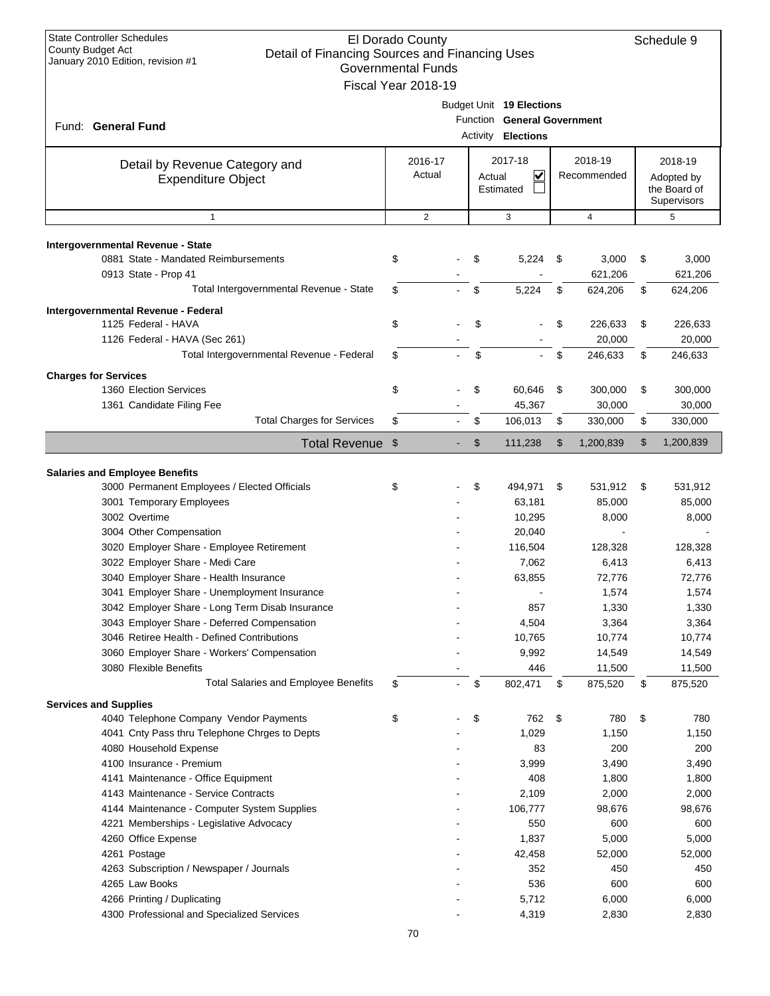| <b>State Controller Schedules</b><br><b>County Budget Act</b><br>Detail of Financing Sources and Financing Uses<br>January 2010 Edition, revision #1 | El Dorado County<br><b>Governmental Funds</b> |                |           |                                                   |                |               | Schedule 9                  |
|------------------------------------------------------------------------------------------------------------------------------------------------------|-----------------------------------------------|----------------|-----------|---------------------------------------------------|----------------|---------------|-----------------------------|
|                                                                                                                                                      | Fiscal Year 2018-19                           |                |           |                                                   |                |               |                             |
|                                                                                                                                                      |                                               |                |           | Budget Unit 19 Elections                          |                |               |                             |
| Fund: General Fund                                                                                                                                   |                                               |                |           | Function General Government<br>Activity Elections |                |               |                             |
|                                                                                                                                                      |                                               |                |           |                                                   |                |               |                             |
| Detail by Revenue Category and                                                                                                                       | 2016-17                                       |                |           | 2017-18                                           |                | 2018-19       | 2018-19                     |
| <b>Expenditure Object</b>                                                                                                                            | Actual                                        |                | Actual    | $\checkmark$                                      |                | Recommended   | Adopted by                  |
|                                                                                                                                                      |                                               |                | Estimated |                                                   |                |               | the Board of<br>Supervisors |
| $\mathbf{1}$                                                                                                                                         | $\overline{2}$                                |                |           | 3                                                 | $\overline{4}$ |               | 5                           |
|                                                                                                                                                      |                                               |                |           |                                                   |                |               |                             |
| Intergovernmental Revenue - State                                                                                                                    |                                               |                |           |                                                   |                |               |                             |
| 0881 State - Mandated Reimbursements                                                                                                                 | \$                                            |                | \$        | 5,224                                             | \$             | 3,000         | \$<br>3,000                 |
| 0913 State - Prop 41                                                                                                                                 |                                               |                |           |                                                   |                | 621,206       | 621,206                     |
| Total Intergovernmental Revenue - State                                                                                                              | \$                                            |                | \$        | 5,224                                             | \$             | 624,206       | \$<br>624,206               |
| Intergovernmental Revenue - Federal                                                                                                                  |                                               |                |           |                                                   |                |               |                             |
| 1125 Federal - HAVA                                                                                                                                  | \$                                            |                | \$        |                                                   | \$             | 226,633       | \$<br>226,633               |
| 1126 Federal - HAVA (Sec 261)                                                                                                                        |                                               |                |           |                                                   |                | 20,000        | 20,000                      |
| Total Intergovernmental Revenue - Federal                                                                                                            | \$                                            |                | \$        |                                                   | \$             | 246,633       | \$<br>246,633               |
| <b>Charges for Services</b>                                                                                                                          |                                               |                |           |                                                   |                |               |                             |
| 1360 Election Services                                                                                                                               | \$                                            |                | \$        | 60,646                                            | \$             | 300,000       | \$<br>300,000               |
| 1361 Candidate Filing Fee                                                                                                                            |                                               |                |           | 45,367                                            |                | 30,000        | 30,000                      |
| <b>Total Charges for Services</b>                                                                                                                    | \$                                            |                | \$        | 106,013                                           | \$             | 330,000       | \$<br>330,000               |
| Total Revenue \$                                                                                                                                     |                                               |                | \$        | 111,238                                           | $\mathfrak{S}$ | 1,200,839     | \$<br>1,200,839             |
|                                                                                                                                                      |                                               |                |           |                                                   |                |               |                             |
| <b>Salaries and Employee Benefits</b>                                                                                                                |                                               |                |           |                                                   |                |               |                             |
| 3000 Permanent Employees / Elected Officials                                                                                                         | \$                                            |                | \$        | 494,971                                           | \$             | 531,912       | \$<br>531,912               |
| 3001 Temporary Employees                                                                                                                             |                                               |                |           | 63,181                                            |                | 85,000        | 85,000                      |
| 3002 Overtime                                                                                                                                        |                                               |                |           | 10,295                                            |                | 8,000         | 8,000                       |
| 3004 Other Compensation                                                                                                                              |                                               |                |           | 20,040                                            |                |               |                             |
| 3020 Employer Share - Employee Retirement                                                                                                            |                                               |                |           | 116,504                                           |                | 128,328       | 128,328                     |
| 3022 Employer Share - Medi Care                                                                                                                      |                                               |                |           | 7,062                                             |                | 6,413         | 6,413                       |
| 3040 Employer Share - Health Insurance                                                                                                               |                                               |                |           | 63,855                                            |                | 72,776        | 72,776                      |
| 3041 Employer Share - Unemployment Insurance                                                                                                         |                                               |                |           |                                                   |                | 1,574         | 1,574                       |
| 3042 Employer Share - Long Term Disab Insurance                                                                                                      |                                               |                |           | 857                                               |                | 1,330         | 1,330                       |
| 3043 Employer Share - Deferred Compensation                                                                                                          |                                               |                |           | 4,504                                             |                | 3,364         | 3,364                       |
| 3046 Retiree Health - Defined Contributions                                                                                                          |                                               |                |           | 10,765                                            |                | 10,774        | 10,774                      |
| 3060 Employer Share - Workers' Compensation                                                                                                          |                                               |                |           | 9,992                                             |                | 14,549        | 14,549                      |
| 3080 Flexible Benefits                                                                                                                               |                                               |                |           | 446                                               |                | 11,500        | 11,500                      |
| <b>Total Salaries and Employee Benefits</b>                                                                                                          | \$                                            | $\blacksquare$ | \$        | 802,471                                           | \$             | 875,520       | \$<br>875,520               |
| <b>Services and Supplies</b>                                                                                                                         |                                               |                |           |                                                   |                |               |                             |
| 4040 Telephone Company Vendor Payments                                                                                                               | \$                                            |                | \$        | 762                                               | \$             | 780           | \$<br>780                   |
| 4041 Cnty Pass thru Telephone Chrges to Depts                                                                                                        |                                               |                |           | 1,029                                             |                | 1,150         | 1,150                       |
| 4080 Household Expense                                                                                                                               |                                               |                |           | 83                                                |                | 200           | 200                         |
| 4100 Insurance - Premium                                                                                                                             |                                               |                |           | 3,999                                             |                | 3,490         | 3,490                       |
| 4141 Maintenance - Office Equipment                                                                                                                  |                                               |                |           | 408                                               |                | 1,800         | 1,800                       |
| 4143 Maintenance - Service Contracts                                                                                                                 |                                               |                |           | 2,109<br>106,777                                  |                | 2,000         | 2,000                       |
| 4144 Maintenance - Computer System Supplies<br>4221 Memberships - Legislative Advocacy                                                               |                                               |                |           | 550                                               |                | 98,676<br>600 | 98,676<br>600               |
| 4260 Office Expense                                                                                                                                  |                                               |                |           | 1,837                                             |                | 5,000         | 5,000                       |
| 4261 Postage                                                                                                                                         |                                               |                |           | 42,458                                            |                | 52,000        | 52,000                      |
| 4263 Subscription / Newspaper / Journals                                                                                                             |                                               |                |           | 352                                               |                | 450           | 450                         |
| 4265 Law Books                                                                                                                                       |                                               |                |           | 536                                               |                | 600           | 600                         |
| 4266 Printing / Duplicating                                                                                                                          |                                               |                |           | 5,712                                             |                | 6,000         | 6,000                       |
| 4300 Professional and Specialized Services                                                                                                           |                                               |                |           | 4,319                                             |                | 2,830         | 2,830                       |
|                                                                                                                                                      |                                               |                |           |                                                   |                |               |                             |